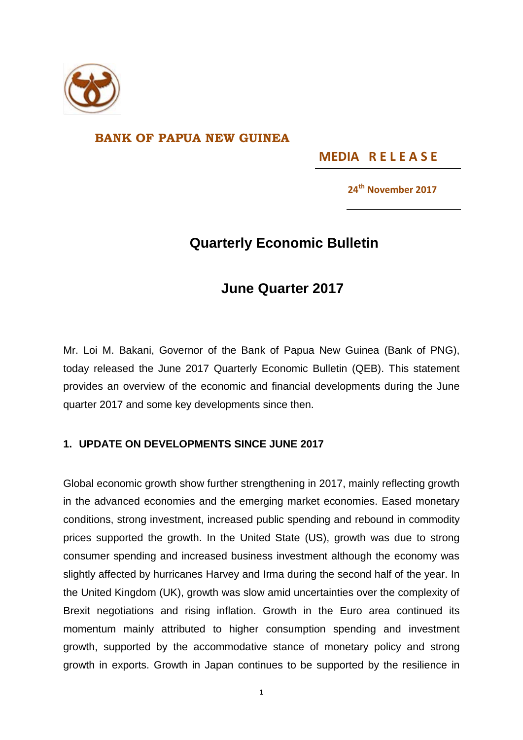

### **BANK OF PAPUA NEW GUINEA**

**MEDIA R E L E A S E** 

**24th November 2017**

# **Quarterly Economic Bulletin**

## **June Quarter 2017**

Mr. Loi M. Bakani, Governor of the Bank of Papua New Guinea (Bank of PNG), today released the June 2017 Quarterly Economic Bulletin (QEB). This statement provides an overview of the economic and financial developments during the June quarter 2017 and some key developments since then.

#### **1. UPDATE ON DEVELOPMENTS SINCE JUNE 2017**

Global economic growth show further strengthening in 2017, mainly reflecting growth in the advanced economies and the emerging market economies. Eased monetary conditions, strong investment, increased public spending and rebound in commodity prices supported the growth. In the United State (US), growth was due to strong consumer spending and increased business investment although the economy was slightly affected by hurricanes Harvey and Irma during the second half of the year. In the United Kingdom (UK), growth was slow amid uncertainties over the complexity of Brexit negotiations and rising inflation. Growth in the Euro area continued its momentum mainly attributed to higher consumption spending and investment growth, supported by the accommodative stance of monetary policy and strong growth in exports. Growth in Japan continues to be supported by the resilience in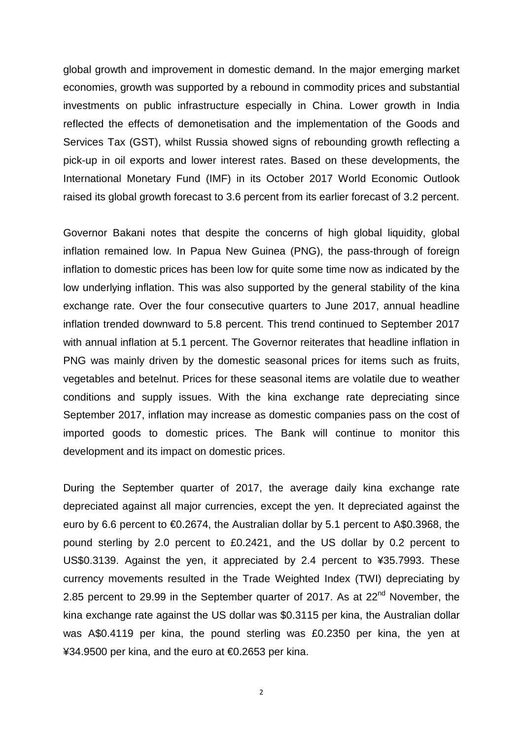global growth and improvement in domestic demand. In the major emerging market economies, growth was supported by a rebound in commodity prices and substantial investments on public infrastructure especially in China. Lower growth in India reflected the effects of demonetisation and the implementation of the Goods and Services Tax (GST), whilst Russia showed signs of rebounding growth reflecting a pick-up in oil exports and lower interest rates. Based on these developments, the International Monetary Fund (IMF) in its October 2017 World Economic Outlook raised its global growth forecast to 3.6 percent from its earlier forecast of 3.2 percent.

Governor Bakani notes that despite the concerns of high global liquidity, global inflation remained low. In Papua New Guinea (PNG), the pass-through of foreign inflation to domestic prices has been low for quite some time now as indicated by the low underlying inflation. This was also supported by the general stability of the kina exchange rate. Over the four consecutive quarters to June 2017, annual headline inflation trended downward to 5.8 percent. This trend continued to September 2017 with annual inflation at 5.1 percent. The Governor reiterates that headline inflation in PNG was mainly driven by the domestic seasonal prices for items such as fruits, vegetables and betelnut. Prices for these seasonal items are volatile due to weather conditions and supply issues. With the kina exchange rate depreciating since September 2017, inflation may increase as domestic companies pass on the cost of imported goods to domestic prices. The Bank will continue to monitor this development and its impact on domestic prices.

During the September quarter of 2017, the average daily kina exchange rate depreciated against all major currencies, except the yen. It depreciated against the euro by 6.6 percent to €0.2674, the Australian dollar by 5.1 percent to A\$0.3968, the pound sterling by 2.0 percent to £0.2421, and the US dollar by 0.2 percent to US\$0.3139. Against the yen, it appreciated by 2.4 percent to ¥35.7993. These currency movements resulted in the Trade Weighted Index (TWI) depreciating by 2.85 percent to 29.99 in the September quarter of 2017. As at 22<sup>nd</sup> November, the kina exchange rate against the US dollar was \$0.3115 per kina, the Australian dollar was A\$0.4119 per kina, the pound sterling was £0.2350 per kina, the yen at ¥34.9500 per kina, and the euro at €0.2653 per kina.

2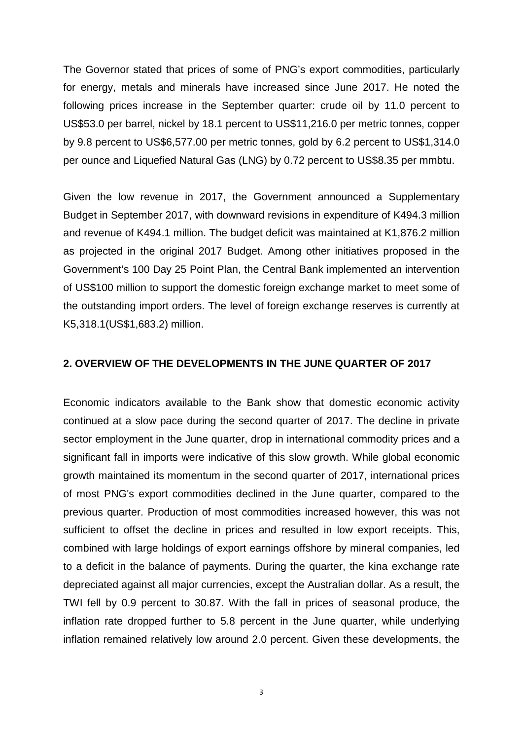The Governor stated that prices of some of PNG's export commodities, particularly for energy, metals and minerals have increased since June 2017. He noted the following prices increase in the September quarter: crude oil by 11.0 percent to US\$53.0 per barrel, nickel by 18.1 percent to US\$11,216.0 per metric tonnes, copper by 9.8 percent to US\$6,577.00 per metric tonnes, gold by 6.2 percent to US\$1,314.0 per ounce and Liquefied Natural Gas (LNG) by 0.72 percent to US\$8.35 per mmbtu.

Given the low revenue in 2017, the Government announced a Supplementary Budget in September 2017, with downward revisions in expenditure of K494.3 million and revenue of K494.1 million. The budget deficit was maintained at K1,876.2 million as projected in the original 2017 Budget. Among other initiatives proposed in the Government's 100 Day 25 Point Plan, the Central Bank implemented an intervention of US\$100 million to support the domestic foreign exchange market to meet some of the outstanding import orders. The level of foreign exchange reserves is currently at K5,318.1(US\$1,683.2) million.

#### **2. OVERVIEW OF THE DEVELOPMENTS IN THE JUNE QUARTER OF 2017**

Economic indicators available to the Bank show that domestic economic activity continued at a slow pace during the second quarter of 2017. The decline in private sector employment in the June quarter, drop in international commodity prices and a significant fall in imports were indicative of this slow growth. While global economic growth maintained its momentum in the second quarter of 2017, international prices of most PNG's export commodities declined in the June quarter, compared to the previous quarter. Production of most commodities increased however, this was not sufficient to offset the decline in prices and resulted in low export receipts. This, combined with large holdings of export earnings offshore by mineral companies, led to a deficit in the balance of payments. During the quarter, the kina exchange rate depreciated against all major currencies, except the Australian dollar. As a result, the TWI fell by 0.9 percent to 30.87. With the fall in prices of seasonal produce, the inflation rate dropped further to 5.8 percent in the June quarter, while underlying inflation remained relatively low around 2.0 percent. Given these developments, the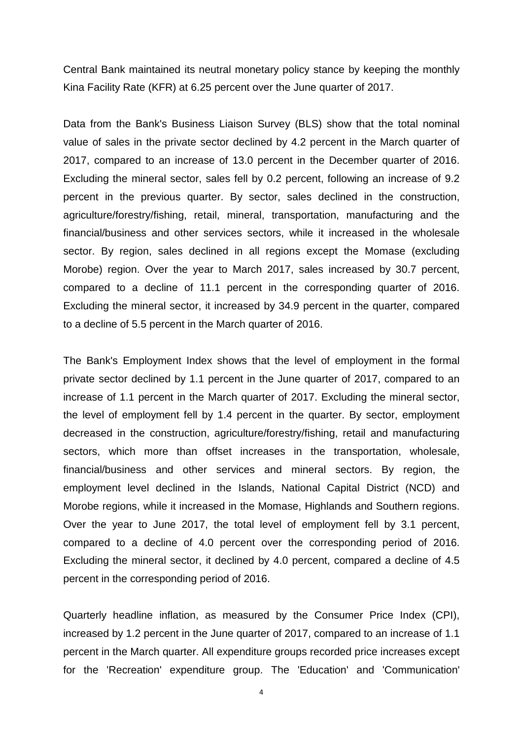Central Bank maintained its neutral monetary policy stance by keeping the monthly Kina Facility Rate (KFR) at 6.25 percent over the June quarter of 2017.

Data from the Bank's Business Liaison Survey (BLS) show that the total nominal value of sales in the private sector declined by 4.2 percent in the March quarter of 2017, compared to an increase of 13.0 percent in the December quarter of 2016. Excluding the mineral sector, sales fell by 0.2 percent, following an increase of 9.2 percent in the previous quarter. By sector, sales declined in the construction, agriculture/forestry/fishing, retail, mineral, transportation, manufacturing and the financial/business and other services sectors, while it increased in the wholesale sector. By region, sales declined in all regions except the Momase (excluding Morobe) region. Over the year to March 2017, sales increased by 30.7 percent, compared to a decline of 11.1 percent in the corresponding quarter of 2016. Excluding the mineral sector, it increased by 34.9 percent in the quarter, compared to a decline of 5.5 percent in the March quarter of 2016.

The Bank's Employment Index shows that the level of employment in the formal private sector declined by 1.1 percent in the June quarter of 2017, compared to an increase of 1.1 percent in the March quarter of 2017. Excluding the mineral sector, the level of employment fell by 1.4 percent in the quarter. By sector, employment decreased in the construction, agriculture/forestry/fishing, retail and manufacturing sectors, which more than offset increases in the transportation, wholesale, financial/business and other services and mineral sectors. By region, the employment level declined in the Islands, National Capital District (NCD) and Morobe regions, while it increased in the Momase, Highlands and Southern regions. Over the year to June 2017, the total level of employment fell by 3.1 percent, compared to a decline of 4.0 percent over the corresponding period of 2016. Excluding the mineral sector, it declined by 4.0 percent, compared a decline of 4.5 percent in the corresponding period of 2016.

Quarterly headline inflation, as measured by the Consumer Price Index (CPI), increased by 1.2 percent in the June quarter of 2017, compared to an increase of 1.1 percent in the March quarter. All expenditure groups recorded price increases except for the 'Recreation' expenditure group. The 'Education' and 'Communication'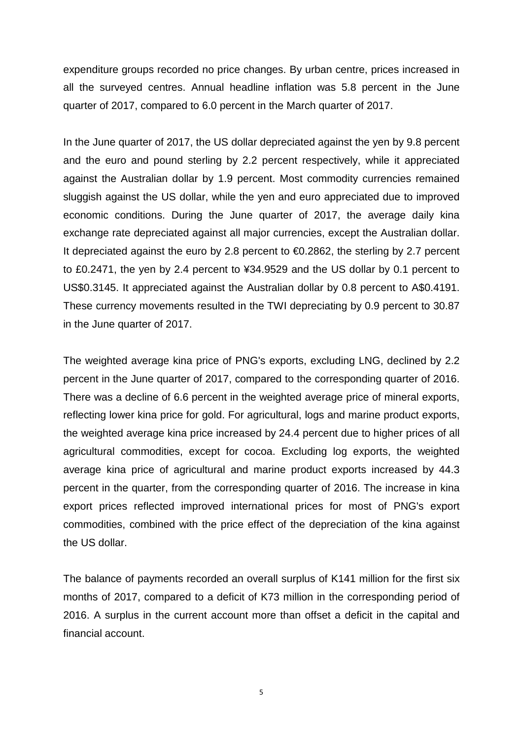expenditure groups recorded no price changes. By urban centre, prices increased in all the surveyed centres. Annual headline inflation was 5.8 percent in the June quarter of 2017, compared to 6.0 percent in the March quarter of 2017.

In the June quarter of 2017, the US dollar depreciated against the yen by 9.8 percent and the euro and pound sterling by 2.2 percent respectively, while it appreciated against the Australian dollar by 1.9 percent. Most commodity currencies remained sluggish against the US dollar, while the yen and euro appreciated due to improved economic conditions. During the June quarter of 2017, the average daily kina exchange rate depreciated against all major currencies, except the Australian dollar. It depreciated against the euro by 2.8 percent to  $\bigoplus$  2.2862, the sterling by 2.7 percent to £0.2471, the yen by 2.4 percent to ¥34.9529 and the US dollar by 0.1 percent to US\$0.3145. It appreciated against the Australian dollar by 0.8 percent to A\$0.4191. These currency movements resulted in the TWI depreciating by 0.9 percent to 30.87 in the June quarter of 2017.

The weighted average kina price of PNG's exports, excluding LNG, declined by 2.2 percent in the June quarter of 2017, compared to the corresponding quarter of 2016. There was a decline of 6.6 percent in the weighted average price of mineral exports, reflecting lower kina price for gold. For agricultural, logs and marine product exports, the weighted average kina price increased by 24.4 percent due to higher prices of all agricultural commodities, except for cocoa. Excluding log exports, the weighted average kina price of agricultural and marine product exports increased by 44.3 percent in the quarter, from the corresponding quarter of 2016. The increase in kina export prices reflected improved international prices for most of PNG's export commodities, combined with the price effect of the depreciation of the kina against the US dollar.

The balance of payments recorded an overall surplus of K141 million for the first six months of 2017, compared to a deficit of K73 million in the corresponding period of 2016. A surplus in the current account more than offset a deficit in the capital and financial account.

5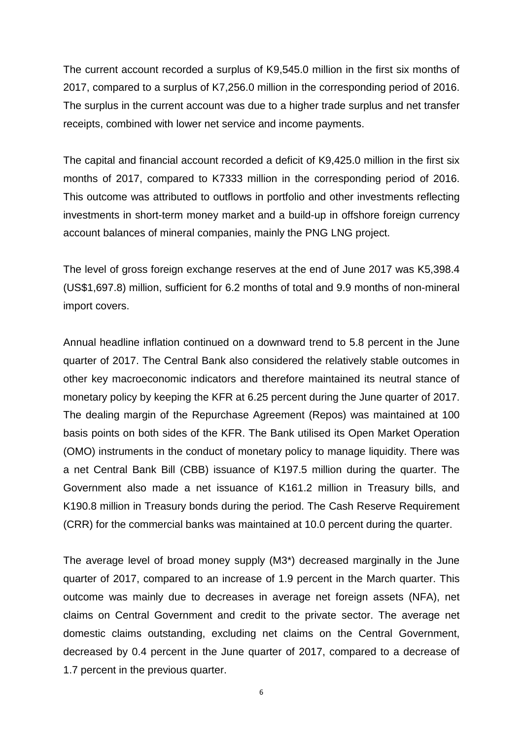The current account recorded a surplus of K9,545.0 million in the first six months of 2017, compared to a surplus of K7,256.0 million in the corresponding period of 2016. The surplus in the current account was due to a higher trade surplus and net transfer receipts, combined with lower net service and income payments.

The capital and financial account recorded a deficit of K9,425.0 million in the first six months of 2017, compared to K7333 million in the corresponding period of 2016. This outcome was attributed to outflows in portfolio and other investments reflecting investments in short-term money market and a build-up in offshore foreign currency account balances of mineral companies, mainly the PNG LNG project.

The level of gross foreign exchange reserves at the end of June 2017 was K5,398.4 (US\$1,697.8) million, sufficient for 6.2 months of total and 9.9 months of non-mineral import covers.

Annual headline inflation continued on a downward trend to 5.8 percent in the June quarter of 2017. The Central Bank also considered the relatively stable outcomes in other key macroeconomic indicators and therefore maintained its neutral stance of monetary policy by keeping the KFR at 6.25 percent during the June quarter of 2017. The dealing margin of the Repurchase Agreement (Repos) was maintained at 100 basis points on both sides of the KFR. The Bank utilised its Open Market Operation (OMO) instruments in the conduct of monetary policy to manage liquidity. There was a net Central Bank Bill (CBB) issuance of K197.5 million during the quarter. The Government also made a net issuance of K161.2 million in Treasury bills, and K190.8 million in Treasury bonds during the period. The Cash Reserve Requirement (CRR) for the commercial banks was maintained at 10.0 percent during the quarter.

The average level of broad money supply (M3\*) decreased marginally in the June quarter of 2017, compared to an increase of 1.9 percent in the March quarter. This outcome was mainly due to decreases in average net foreign assets (NFA), net claims on Central Government and credit to the private sector. The average net domestic claims outstanding, excluding net claims on the Central Government, decreased by 0.4 percent in the June quarter of 2017, compared to a decrease of 1.7 percent in the previous quarter.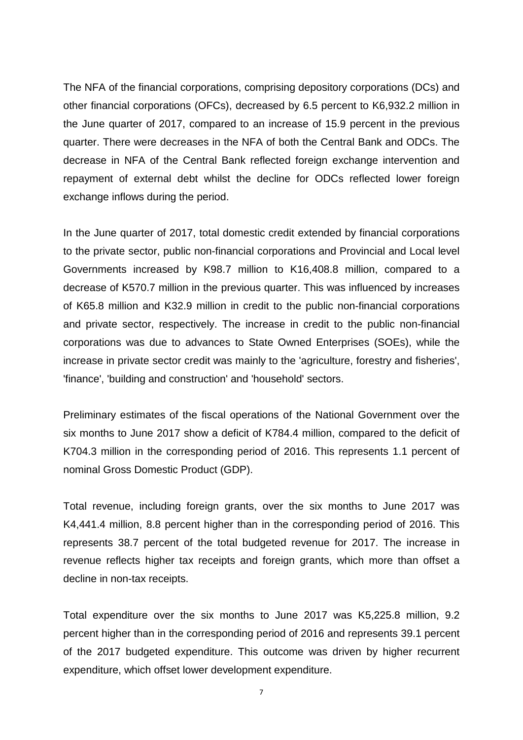The NFA of the financial corporations, comprising depository corporations (DCs) and other financial corporations (OFCs), decreased by 6.5 percent to K6,932.2 million in the June quarter of 2017, compared to an increase of 15.9 percent in the previous quarter. There were decreases in the NFA of both the Central Bank and ODCs. The decrease in NFA of the Central Bank reflected foreign exchange intervention and repayment of external debt whilst the decline for ODCs reflected lower foreign exchange inflows during the period.

In the June quarter of 2017, total domestic credit extended by financial corporations to the private sector, public non-financial corporations and Provincial and Local level Governments increased by K98.7 million to K16,408.8 million, compared to a decrease of K570.7 million in the previous quarter. This was influenced by increases of K65.8 million and K32.9 million in credit to the public non-financial corporations and private sector, respectively. The increase in credit to the public non-financial corporations was due to advances to State Owned Enterprises (SOEs), while the increase in private sector credit was mainly to the 'agriculture, forestry and fisheries', 'finance', 'building and construction' and 'household' sectors.

Preliminary estimates of the fiscal operations of the National Government over the six months to June 2017 show a deficit of K784.4 million, compared to the deficit of K704.3 million in the corresponding period of 2016. This represents 1.1 percent of nominal Gross Domestic Product (GDP).

Total revenue, including foreign grants, over the six months to June 2017 was K4,441.4 million, 8.8 percent higher than in the corresponding period of 2016. This represents 38.7 percent of the total budgeted revenue for 2017. The increase in revenue reflects higher tax receipts and foreign grants, which more than offset a decline in non-tax receipts.

Total expenditure over the six months to June 2017 was K5,225.8 million, 9.2 percent higher than in the corresponding period of 2016 and represents 39.1 percent of the 2017 budgeted expenditure. This outcome was driven by higher recurrent expenditure, which offset lower development expenditure.